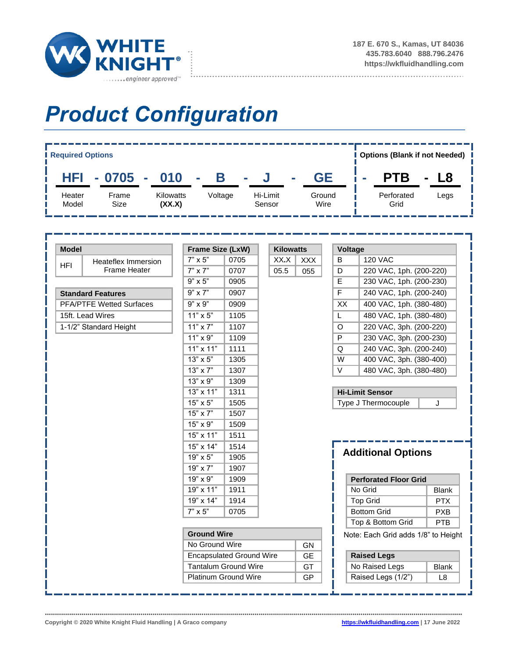

............................

## *Product Configuration*



| <b>Model</b>                    |                            |                                 | Frame Size (LxW)   |      | <b>Kilowatts</b> |                | Voltage                      |                                      |              |  |
|---------------------------------|----------------------------|---------------------------------|--------------------|------|------------------|----------------|------------------------------|--------------------------------------|--------------|--|
|                                 | <b>Heateflex Immersion</b> | $7" \times 5"$                  | 0705               | XX.X | <b>XXX</b>       | B              |                              | <b>120 VAC</b>                       |              |  |
| <b>HFI</b>                      | <b>Frame Heater</b>        | $7" \times 7"$                  | 0707               | 05.5 | 055              | D              |                              | 220 VAC, 1ph. (200-220)              |              |  |
|                                 |                            | $9" \times 5"$                  | 0905               |      |                  | $\mathsf E$    |                              | 230 VAC, 1ph. (200-230)              |              |  |
| <b>Standard Features</b>        |                            | $9"$ x $7"$                     | 0907               |      |                  | $\overline{F}$ |                              | 240 VAC, 1ph. (200-240)              |              |  |
| <b>PFA/PTFE Wetted Surfaces</b> |                            | $9" \times 9"$                  | 0909               |      |                  | XX             |                              | 400 VAC, 1ph. (380-480)              |              |  |
| 15ft. Lead Wires                |                            | $11" \times 5"$                 | 1105               |      |                  | L              |                              | 480 VAC, 1ph. (380-480)              |              |  |
| 1-1/2" Standard Height          |                            | 11" x 7"                        | 1107               |      |                  | $\circ$        |                              | 220 VAC, 3ph. (200-220)              |              |  |
|                                 |                            | $11" \times 9"$                 | 1109               |      |                  |                | P                            | 230 VAC, 3ph. (200-230)              |              |  |
|                                 |                            | $11" \times 11"$                | 1111               |      |                  | $\overline{Q}$ |                              | 240 VAC, 3ph. (200-240)              |              |  |
|                                 |                            | 13" x 5"                        | 1305               |      |                  | W              |                              | 400 VAC, 3ph. (380-400)              |              |  |
|                                 |                            | $13" \times 7"$                 | 1307               |      |                  | $\vee$         |                              | 480 VAC, 3ph. (380-480)              |              |  |
|                                 |                            | $13" \times 9"$                 | 1309               |      |                  |                |                              |                                      |              |  |
|                                 |                            | 13" x 11"                       | 1311               |      |                  |                |                              | <b>Hi-Limit Sensor</b>               |              |  |
|                                 |                            | 15" x 5"                        | 1505               |      |                  |                |                              | Type J Thermocouple                  | J            |  |
|                                 |                            | 15" x 7"                        | 1507               |      |                  |                |                              |                                      |              |  |
|                                 |                            | 15" x 9"                        | 1509               |      |                  |                |                              |                                      |              |  |
|                                 |                            | $15" \times 11"$                | 1511               |      |                  |                |                              |                                      |              |  |
|                                 |                            | 15" x 14"                       | 1514               |      |                  |                | <b>Additional Options</b>    |                                      |              |  |
|                                 |                            | 19" x 5"                        | 1905               |      |                  |                |                              |                                      |              |  |
|                                 |                            | 19" x 7"                        | 1907               |      |                  |                |                              |                                      |              |  |
|                                 |                            | 19" x 9"                        | 1909               |      |                  |                | <b>Perforated Floor Grid</b> |                                      |              |  |
|                                 |                            | 19" x 11"                       | 1911               |      |                  |                |                              | No Grid                              | <b>Blank</b> |  |
|                                 |                            | 19" x 14"                       | 1914               |      |                  |                |                              | <b>Top Grid</b>                      | <b>PTX</b>   |  |
|                                 |                            | $7" \times 5"$                  | 0705               |      |                  |                |                              | <b>Bottom Grid</b>                   | <b>PXB</b>   |  |
|                                 |                            |                                 |                    |      |                  |                |                              | Top & Bottom Grid                    | PTB          |  |
|                                 |                            |                                 | <b>Ground Wire</b> |      |                  |                |                              | Note: Each Grid adds 1/8" to Height  |              |  |
|                                 |                            |                                 | No Ground Wire     |      |                  |                |                              |                                      |              |  |
|                                 |                            |                                 |                    |      | <b>GN</b>        |                |                              |                                      |              |  |
|                                 |                            | <b>Encapsulated Ground Wire</b> |                    |      | <b>GE</b>        |                |                              | <b>Raised Legs</b>                   |              |  |
|                                 |                            | <b>Tantalum Ground Wire</b>     |                    |      | GT               |                |                              | No Raised Legs<br>Raised Legs (1/2") | <b>Blank</b> |  |

**Copyright © 2020 White Knight Fluid Handling | A Graco company [https://wkfluidhandling.com](https://wkfluidhandling.com/) | 17 June 2022**

•••••••••••••••••••••••••••••••••••••••••••••••••••••••••••••••••••••••••••••••••••••••••••••••••••••••••••••••••••••••••••••••••••••••••••••••••••••••••••••••••••••••••••••••••••••••••••••••••••••••••••••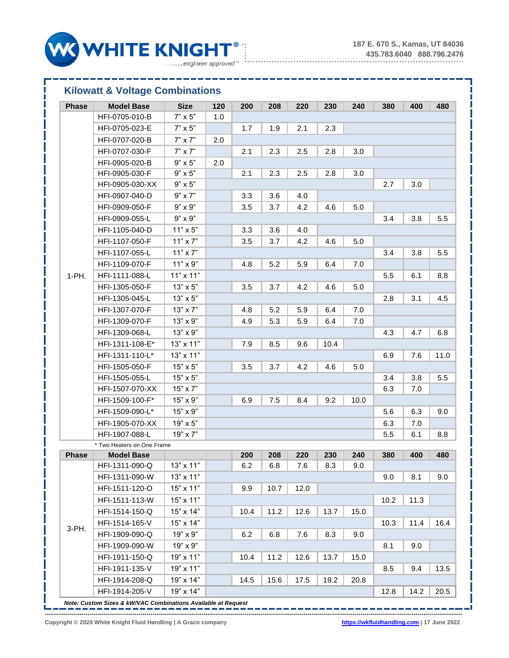\_\_\_\_\_\_\_\_\_\_\_\_



## **Kilowatt & Voltage Combinations**

| <b>Phase</b> | <b>Model Base</b>          | <b>Size</b>      | 120 | 200  | 208  | 220  | 230  | 240  | 380     | 400  | 480  |
|--------------|----------------------------|------------------|-----|------|------|------|------|------|---------|------|------|
|              | HFI-0705-010-B             | $7" \times 5"$   | 1.0 |      |      |      |      |      |         |      |      |
|              | HFI-0705-023-E             | $7" \times 5"$   |     | 1.7  | 1.9  | 2.1  | 2.3  |      |         |      |      |
|              | HFI-0707-020-B             | $7" \times 7"$   | 2.0 |      |      |      |      |      |         |      |      |
|              | HFI-0707-030-F             | $7" \times 7"$   |     | 2.1  | 2.3  | 2.5  | 2.8  | 3.0  |         |      |      |
|              | HFI-0905-020-B             | $9" \times 5"$   | 2.0 |      |      |      |      |      |         |      |      |
|              | HFI-0905-030-F             | $9" \times 5"$   |     | 2.1  | 2.3  | 2.5  | 2.8  | 3.0  |         |      |      |
|              | HFI-0905-030-XX            | $9" \times 5"$   |     |      |      |      |      |      | 2.7     | 3.0  |      |
|              | HFI-0907-040-D             | $9" \times 7"$   |     | 3.3  | 3.6  | 4.0  |      |      |         |      |      |
|              | HFI-0909-050-F             | $9" \times 9"$   |     | 3.5  | 3.7  | 4.2  | 4.6  | 5.0  |         |      |      |
|              | HFI-0909-055-L             | $9" \times 9"$   |     |      |      |      |      |      | 3.4     | 3.8  | 5.5  |
|              | HFI-1105-040-D             | $11" \times 5"$  |     | 3.3  | 3.6  | 4.0  |      |      |         |      |      |
|              | HFI-1107-050-F             | $11" \times 7"$  |     | 3.5  | 3.7  | 4.2  | 4.6  | 5.0  |         |      |      |
|              | HFI-1107-055-L             | $11" \times 7"$  |     |      |      |      |      |      | 3.4     | 3.8  | 5.5  |
|              | HFI-1109-070-F             | $11" \times 9"$  |     | 4.8  | 5.2  | 5.9  | 6.4  | 7.0  |         |      |      |
| 1-PH.        | HFI-1111-088-L             | $11" \times 11"$ |     |      |      |      |      |      | $5.5\,$ | 6.1  | 8.8  |
|              | HFI-1305-050-F             | $13" \times 5"$  |     | 3.5  | 3.7  | 4.2  | 4.6  | 5.0  |         |      |      |
|              | HFI-1305-045-L             | $13" \times 5"$  |     |      |      |      |      |      | 2.8     | 3.1  | 4.5  |
|              | HFI-1307-070-F             | $13" \times 7"$  |     | 4.8  | 5.2  | 5.9  | 6.4  | 7.0  |         |      |      |
|              | HFI-1309-070-F             | $13" \times 9"$  |     | 4.9  | 5.3  | 5.9  | 6.4  | 7.0  |         |      |      |
|              | HFI-1309-068-L             | $13" \times 9"$  |     |      |      |      |      |      | 4.3     | 4.7  | 6.8  |
|              | HFI-1311-108-E*            | $13" \times 11"$ |     | 7.9  | 8.5  | 9.6  | 10.4 |      |         |      |      |
|              | HFI-1311-110-L*            | $13" \times 11"$ |     |      |      |      |      |      | 6.9     | 7.6  | 11.0 |
|              | HFI-1505-050-F             | $15" \times 5"$  |     | 3.5  | 3.7  | 4.2  | 4.6  | 5.0  |         |      |      |
|              | HFI-1505-055-L             | 15" x 5"         |     |      |      |      |      |      | 3.4     | 3.8  | 5.5  |
|              | HFI-1507-070-XX            | $15" \times 7"$  |     |      |      |      |      |      | 6.3     | 7.0  |      |
|              | HFI-1509-100-F*            | $15" \times 9"$  |     | 6.9  | 7.5  | 8.4  | 9.2  | 10.0 |         |      |      |
|              | HFI-1509-090-L*            | $15" \times 9"$  |     |      |      |      |      |      | 5.6     | 6.3  | 9.0  |
|              | HFI-1905-070-XX            | 19" x 5"         |     |      |      |      |      |      | 6.3     | 7.0  |      |
|              | HFI-1907-088-L             | 19" x 7"         |     |      |      |      |      |      | 5.5     | 6.1  | 8.8  |
|              | * Two Heaters on One Frame |                  |     |      |      |      |      |      |         |      |      |
| <b>Phase</b> | <b>Model Base</b>          |                  |     | 200  | 208  | 220  | 230  | 240  | 380     | 400  | 480  |
|              | HFI-1311-090-Q             | $13" \times 11"$ |     | 6.2  | 6.8  | 7.6  | 8.3  | 9.0  |         |      |      |
|              | HFI-1311-090-W             | $13" \times 11"$ |     |      |      |      |      |      | 9.0     | 8.1  | 9.0  |
| 3-PH.        | HFI-1511-120-O             | $15" \times 11"$ |     | 9.9  | 10.7 | 12.0 |      |      |         |      |      |
|              | HFI-1511-113-W             | $15" \times 11"$ |     |      |      |      |      |      | 10.2    | 11.3 |      |
|              | HFI-1514-150-Q             | $15" \times 14"$ |     | 10.4 | 11.2 | 12.6 | 13.7 | 15.0 |         |      |      |
|              | HFI-1514-165-V             | $15" \times 14"$ |     |      |      |      |      |      | 10.3    | 11.4 | 16.4 |
|              | HFI-1909-090-Q             | $19" \times 9"$  |     | 6.2  | 6.8  | 7.6  | 8.3  | 9.0  |         |      |      |
|              | HFI-1909-090-W             | 19" x 9"         |     |      |      |      |      |      | 8.1     | 9.0  |      |
|              | HFI-1911-150-Q             | 19" x 11"        |     | 10.4 | 11.2 | 12.6 | 13.7 | 15.0 |         |      |      |
|              | HFI-1911-135-V             | 19" x 11"        |     |      |      |      |      |      | 8.5     | 9.4  | 13.5 |
|              | HFI-1914-208-Q             | 19" x 14"        |     | 14.5 | 15.6 | 17.5 | 19.2 | 20.8 |         |      |      |
|              | HFI-1914-205-V             | 19" x 14"        |     |      |      |      |      |      | 12.8    | 14.2 | 20.5 |

*Note: Custom Sizes & kW/VAC Combinations Available at Request* 

•••••••••••••••••••••••••••••••••••••••••••••••••••••••••••••••••••••••••••••••••••••••••••••••••••••••••••••••••••••••••••••••••••••••••••••••••••••••••••••••••••••••••••••••••••••••••••••••••••••••••••••

**Copyright © 2020 White Knight Fluid Handling | A Graco company [https://wkfluidhandling.com](https://wkfluidhandling.com/) | 17 June 2022**